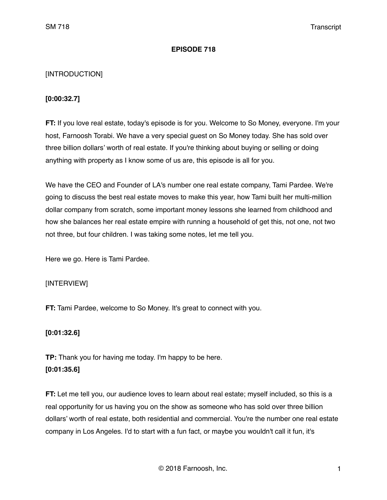#### **EPISODE 718**

### [INTRODUCTION]

#### **[0:00:32.7]**

**FT:** If you love real estate, today's episode is for you. Welcome to So Money, everyone. I'm your host, Farnoosh Torabi. We have a very special guest on So Money today. She has sold over three billion dollars' worth of real estate. If you're thinking about buying or selling or doing anything with property as I know some of us are, this episode is all for you.

We have the CEO and Founder of LA's number one real estate company, Tami Pardee. We're going to discuss the best real estate moves to make this year, how Tami built her multi-million dollar company from scratch, some important money lessons she learned from childhood and how she balances her real estate empire with running a household of get this, not one, not two not three, but four children. I was taking some notes, let me tell you.

Here we go. Here is Tami Pardee.

### [INTERVIEW]

**FT:** Tami Pardee, welcome to So Money. It's great to connect with you.

### **[0:01:32.6]**

**TP:** Thank you for having me today. I'm happy to be here. **[0:01:35.6]**

**FT:** Let me tell you, our audience loves to learn about real estate; myself included, so this is a real opportunity for us having you on the show as someone who has sold over three billion dollars' worth of real estate, both residential and commercial. You're the number one real estate company in Los Angeles. I'd to start with a fun fact, or maybe you wouldn't call it fun, it's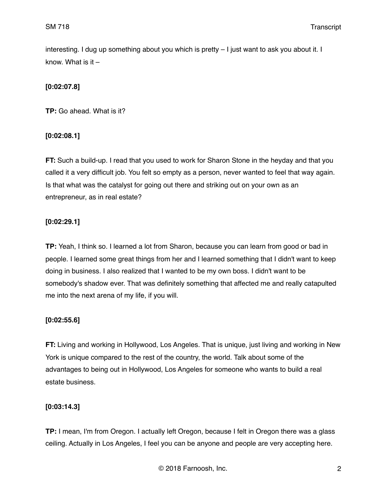interesting. I dug up something about you which is pretty – I just want to ask you about it. I know. What is it –

# **[0:02:07.8]**

**TP:** Go ahead. What is it?

# **[0:02:08.1]**

**FT:** Such a build-up. I read that you used to work for Sharon Stone in the heyday and that you called it a very difficult job. You felt so empty as a person, never wanted to feel that way again. Is that what was the catalyst for going out there and striking out on your own as an entrepreneur, as in real estate?

# **[0:02:29.1]**

**TP:** Yeah, I think so. I learned a lot from Sharon, because you can learn from good or bad in people. I learned some great things from her and I learned something that I didn't want to keep doing in business. I also realized that I wanted to be my own boss. I didn't want to be somebody's shadow ever. That was definitely something that affected me and really catapulted me into the next arena of my life, if you will.

# **[0:02:55.6]**

**FT:** Living and working in Hollywood, Los Angeles. That is unique, just living and working in New York is unique compared to the rest of the country, the world. Talk about some of the advantages to being out in Hollywood, Los Angeles for someone who wants to build a real estate business.

### **[0:03:14.3]**

**TP:** I mean, I'm from Oregon. I actually left Oregon, because I felt in Oregon there was a glass ceiling. Actually in Los Angeles, I feel you can be anyone and people are very accepting here.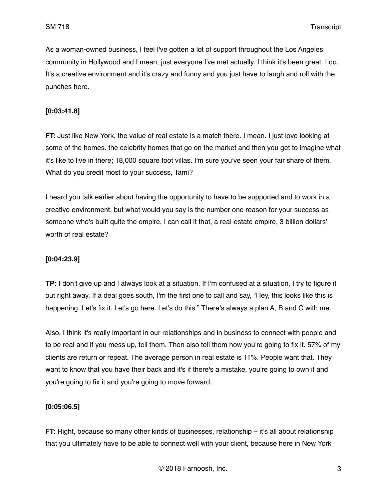As a woman-owned business, I feel I've gotten a lot of support throughout the Los Angeles community in Hollywood and I mean, just everyone I've met actually. I think it's been great. I do. It's a creative environment and it's crazy and funny and you just have to laugh and roll with the punches here.

#### **[0:03:41.8]**

**FT:** Just like New York, the value of real estate is a match there. I mean. I just love looking at some of the homes. the celebrity homes that go on the market and then you get to imagine what it's like to live in there; 18,000 square foot villas. I'm sure you've seen your fair share of them. What do you credit most to your success, Tami?

I heard you talk earlier about having the opportunity to have to be supported and to work in a creative environment, but what would you say is the number one reason for your success as someone who's built quite the empire, I can call it that, a real-estate empire, 3 billion dollars' worth of real estate?

#### **[0:04:23.9]**

**TP:** I don't give up and I always look at a situation. If I'm confused at a situation, I try to figure it out right away. If a deal goes south, I'm the first one to call and say, "Hey, this looks like this is happening. Let's fix it. Let's go here. Let's do this." There's always a plan A, B and C with me.

Also, I think it's really important in our relationships and in business to connect with people and to be real and if you mess up, tell them. Then also tell them how you're going to fix it. 57% of my clients are return or repeat. The average person in real estate is 11%. People want that. They want to know that you have their back and it's if there's a mistake, you're going to own it and you're going to fix it and you're going to move forward.

### **[0:05:06.5]**

**FT:** Right, because so many other kinds of businesses, relationship – it's all about relationship that you ultimately have to be able to connect well with your client, because here in New York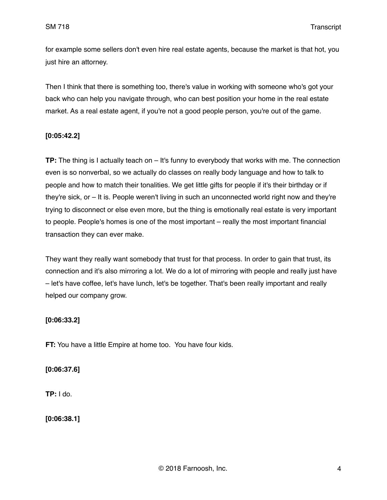for example some sellers don't even hire real estate agents, because the market is that hot, you just hire an attorney.

Then I think that there is something too, there's value in working with someone who's got your back who can help you navigate through, who can best position your home in the real estate market. As a real estate agent, if you're not a good people person, you're out of the game.

#### **[0:05:42.2]**

**TP:** The thing is I actually teach on – It's funny to everybody that works with me. The connection even is so nonverbal, so we actually do classes on really body language and how to talk to people and how to match their tonalities. We get little gifts for people if it's their birthday or if they're sick, or – It is. People weren't living in such an unconnected world right now and they're trying to disconnect or else even more, but the thing is emotionally real estate is very important to people. People's homes is one of the most important – really the most important financial transaction they can ever make.

They want they really want somebody that trust for that process. In order to gain that trust, its connection and it's also mirroring a lot. We do a lot of mirroring with people and really just have – let's have coffee, let's have lunch, let's be together. That's been really important and really helped our company grow.

### **[0:06:33.2]**

**FT:** You have a little Empire at home too. You have four kids.

**[0:06:37.6]**

**TP:** I do.

**[0:06:38.1]**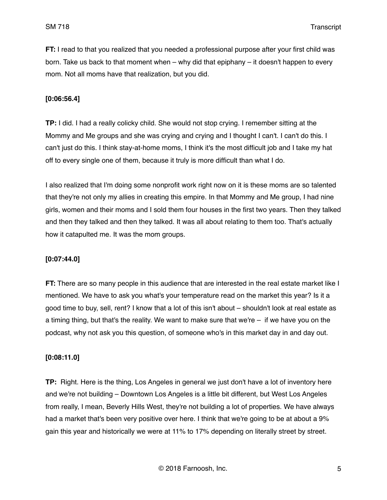**FT:** I read to that you realized that you needed a professional purpose after your first child was born. Take us back to that moment when – why did that epiphany – it doesn't happen to every mom. Not all moms have that realization, but you did.

#### **[0:06:56.4]**

**TP:** I did. I had a really colicky child. She would not stop crying. I remember sitting at the Mommy and Me groups and she was crying and crying and I thought I can't. I can't do this. I can't just do this. I think stay-at-home moms, I think it's the most difficult job and I take my hat off to every single one of them, because it truly is more difficult than what I do.

I also realized that I'm doing some nonprofit work right now on it is these moms are so talented that they're not only my allies in creating this empire. In that Mommy and Me group, I had nine girls, women and their moms and I sold them four houses in the first two years. Then they talked and then they talked and then they talked. It was all about relating to them too. That's actually how it catapulted me. It was the mom groups.

#### **[0:07:44.0]**

**FT:** There are so many people in this audience that are interested in the real estate market like I mentioned. We have to ask you what's your temperature read on the market this year? Is it a good time to buy, sell, rent? I know that a lot of this isn't about – shouldn't look at real estate as a timing thing, but that's the reality. We want to make sure that we're – if we have you on the podcast, why not ask you this question, of someone who's in this market day in and day out.

#### **[0:08:11.0]**

**TP:** Right. Here is the thing, Los Angeles in general we just don't have a lot of inventory here and we're not building – Downtown Los Angeles is a little bit different, but West Los Angeles from really, I mean, Beverly Hills West, they're not building a lot of properties. We have always had a market that's been very positive over here. I think that we're going to be at about a 9% gain this year and historically we were at 11% to 17% depending on literally street by street.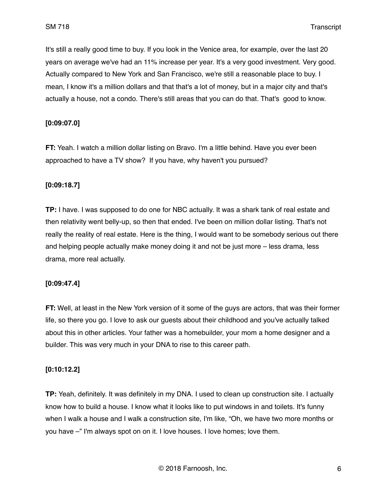It's still a really good time to buy. If you look in the Venice area, for example, over the last 20 years on average we've had an 11% increase per year. It's a very good investment. Very good. Actually compared to New York and San Francisco, we're still a reasonable place to buy. I mean, I know it's a million dollars and that that's a lot of money, but in a major city and that's actually a house, not a condo. There's still areas that you can do that. That's good to know.

#### **[0:09:07.0]**

**FT:** Yeah. I watch a million dollar listing on Bravo. I'm a little behind. Have you ever been approached to have a TV show? If you have, why haven't you pursued?

#### **[0:09:18.7]**

**TP:** I have. I was supposed to do one for NBC actually. It was a shark tank of real estate and then relativity went belly-up, so then that ended. I've been on million dollar listing. That's not really the reality of real estate. Here is the thing, I would want to be somebody serious out there and helping people actually make money doing it and not be just more – less drama, less drama, more real actually.

#### **[0:09:47.4]**

**FT:** Well, at least in the New York version of it some of the guys are actors, that was their former life, so there you go. I love to ask our guests about their childhood and you've actually talked about this in other articles. Your father was a homebuilder, your mom a home designer and a builder. This was very much in your DNA to rise to this career path.

#### **[0:10:12.2]**

**TP:** Yeah, definitely. It was definitely in my DNA. I used to clean up construction site. I actually know how to build a house. I know what it looks like to put windows in and toilets. It's funny when I walk a house and I walk a construction site, I'm like, "Oh, we have two more months or you have –" I'm always spot on on it. I love houses. I love homes; love them.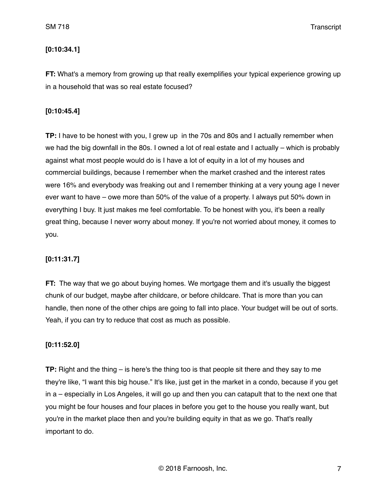## **[0:10:34.1]**

**FT:** What's a memory from growing up that really exemplifies your typical experience growing up in a household that was so real estate focused?

## **[0:10:45.4]**

**TP:** I have to be honest with you, I grew up in the 70s and 80s and I actually remember when we had the big downfall in the 80s. I owned a lot of real estate and I actually – which is probably against what most people would do is I have a lot of equity in a lot of my houses and commercial buildings, because I remember when the market crashed and the interest rates were 16% and everybody was freaking out and I remember thinking at a very young age I never ever want to have – owe more than 50% of the value of a property. I always put 50% down in everything I buy. It just makes me feel comfortable. To be honest with you, it's been a really great thing, because I never worry about money. If you're not worried about money, it comes to you.

# **[0:11:31.7]**

**FT:** The way that we go about buying homes. We mortgage them and it's usually the biggest chunk of our budget, maybe after childcare, or before childcare. That is more than you can handle, then none of the other chips are going to fall into place. Your budget will be out of sorts. Yeah, if you can try to reduce that cost as much as possible.

### **[0:11:52.0]**

**TP:** Right and the thing – is here's the thing too is that people sit there and they say to me they're like, "I want this big house." It's like, just get in the market in a condo, because if you get in a – especially in Los Angeles, it will go up and then you can catapult that to the next one that you might be four houses and four places in before you get to the house you really want, but you're in the market place then and you're building equity in that as we go. That's really important to do.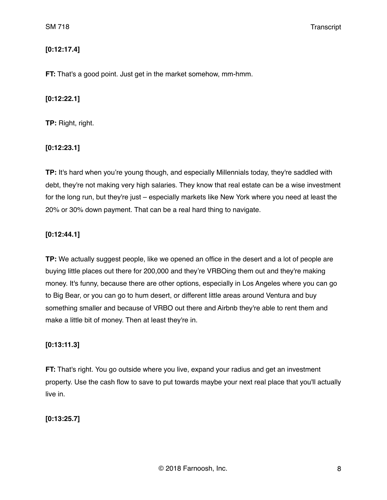## **[0:12:17.4]**

**FT:** That's a good point. Just get in the market somehow, mm-hmm.

#### **[0:12:22.1]**

**TP:** Right, right.

**[0:12:23.1]**

**TP:** It's hard when you're young though, and especially Millennials today, they're saddled with debt, they're not making very high salaries. They know that real estate can be a wise investment for the long run, but they're just – especially markets like New York where you need at least the 20% or 30% down payment. That can be a real hard thing to navigate.

## **[0:12:44.1]**

**TP:** We actually suggest people, like we opened an office in the desert and a lot of people are buying little places out there for 200,000 and they're VRBOing them out and they're making money. It's funny, because there are other options, especially in Los Angeles where you can go to Big Bear, or you can go to hum desert, or different little areas around Ventura and buy something smaller and because of VRBO out there and Airbnb they're able to rent them and make a little bit of money. Then at least they're in.

### **[0:13:11.3]**

**FT:** That's right. You go outside where you live, expand your radius and get an investment property. Use the cash flow to save to put towards maybe your next real place that you'll actually live in.

# **[0:13:25.7]**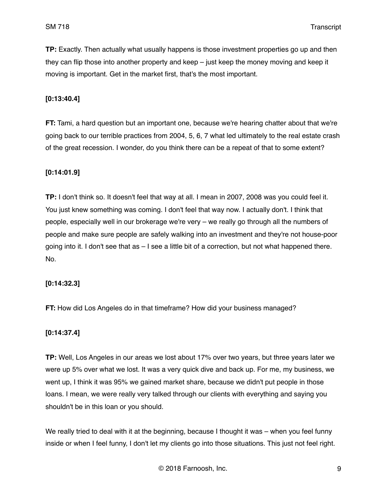**TP:** Exactly. Then actually what usually happens is those investment properties go up and then they can flip those into another property and keep – just keep the money moving and keep it moving is important. Get in the market first, that's the most important.

#### **[0:13:40.4]**

**FT:** Tami, a hard question but an important one, because we're hearing chatter about that we're going back to our terrible practices from 2004, 5, 6, 7 what led ultimately to the real estate crash of the great recession. I wonder, do you think there can be a repeat of that to some extent?

#### **[0:14:01.9]**

**TP:** I don't think so. It doesn't feel that way at all. I mean in 2007, 2008 was you could feel it. You just knew something was coming. I don't feel that way now. I actually don't. I think that people, especially well in our brokerage we're very – we really go through all the numbers of people and make sure people are safely walking into an investment and they're not house-poor going into it. I don't see that as – I see a little bit of a correction, but not what happened there. No.

#### **[0:14:32.3]**

**FT:** How did Los Angeles do in that timeframe? How did your business managed?

#### **[0:14:37.4]**

**TP:** Well, Los Angeles in our areas we lost about 17% over two years, but three years later we were up 5% over what we lost. It was a very quick dive and back up. For me, my business, we went up, I think it was 95% we gained market share, because we didn't put people in those loans. I mean, we were really very talked through our clients with everything and saying you shouldn't be in this loan or you should.

We really tried to deal with it at the beginning, because I thought it was – when you feel funny inside or when I feel funny, I don't let my clients go into those situations. This just not feel right.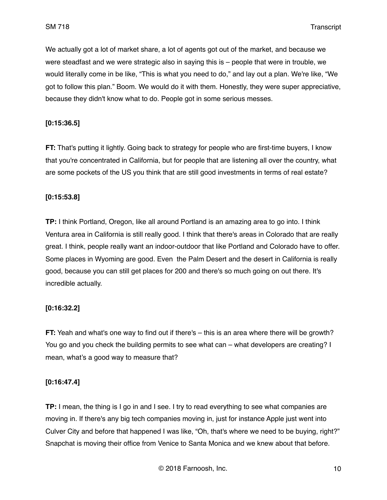We actually got a lot of market share, a lot of agents got out of the market, and because we were steadfast and we were strategic also in saying this is – people that were in trouble, we would literally come in be like, "This is what you need to do," and lay out a plan. We're like, "We got to follow this plan." Boom. We would do it with them. Honestly, they were super appreciative, because they didn't know what to do. People got in some serious messes.

### **[0:15:36.5]**

**FT:** That's putting it lightly. Going back to strategy for people who are first-time buyers, I know that you're concentrated in California, but for people that are listening all over the country, what are some pockets of the US you think that are still good investments in terms of real estate?

#### **[0:15:53.8]**

**TP:** I think Portland, Oregon, like all around Portland is an amazing area to go into. I think Ventura area in California is still really good. I think that there's areas in Colorado that are really great. I think, people really want an indoor-outdoor that like Portland and Colorado have to offer. Some places in Wyoming are good. Even the Palm Desert and the desert in California is really good, because you can still get places for 200 and there's so much going on out there. It's incredible actually.

### **[0:16:32.2]**

**FT:** Yeah and what's one way to find out if there's – this is an area where there will be growth? You go and you check the building permits to see what can – what developers are creating? I mean, what's a good way to measure that?

### **[0:16:47.4]**

**TP:** I mean, the thing is I go in and I see. I try to read everything to see what companies are moving in. If there's any big tech companies moving in, just for instance Apple just went into Culver City and before that happened I was like, "Oh, that's where we need to be buying, right?" Snapchat is moving their office from Venice to Santa Monica and we knew about that before.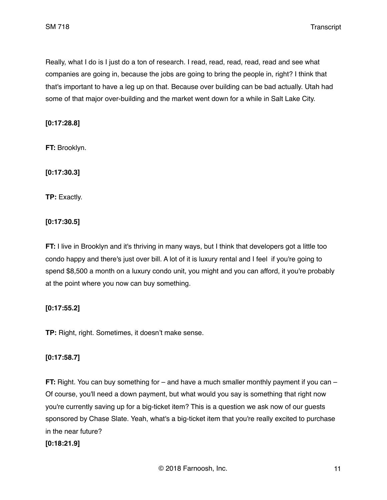Really, what I do is I just do a ton of research. I read, read, read, read, read and see what companies are going in, because the jobs are going to bring the people in, right? I think that that's important to have a leg up on that. Because over building can be bad actually. Utah had some of that major over-building and the market went down for a while in Salt Lake City.

**[0:17:28.8]**

**FT:** Brooklyn.

**[0:17:30.3]**

**TP:** Exactly.

**[0:17:30.5]**

**FT:** I live in Brooklyn and it's thriving in many ways, but I think that developers got a little too condo happy and there's just over bill. A lot of it is luxury rental and I feel if you're going to spend \$8,500 a month on a luxury condo unit, you might and you can afford, it you're probably at the point where you now can buy something.

# **[0:17:55.2]**

**TP:** Right, right. Sometimes, it doesn't make sense.

# **[0:17:58.7]**

**FT:** Right. You can buy something for – and have a much smaller monthly payment if you can – Of course, you'll need a down payment, but what would you say is something that right now you're currently saving up for a big-ticket item? This is a question we ask now of our guests sponsored by Chase Slate. Yeah, what's a big-ticket item that you're really excited to purchase in the near future?

### **[0:18:21.9]**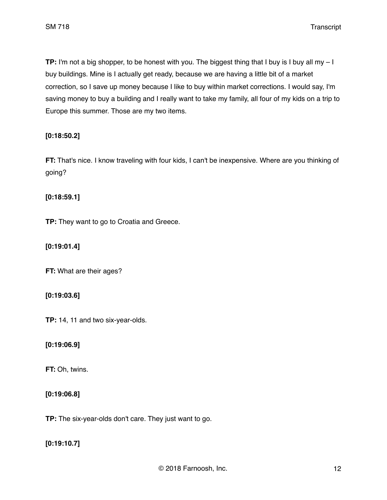**TP:** I'm not a big shopper, to be honest with you. The biggest thing that I buy is I buy all my – I buy buildings. Mine is I actually get ready, because we are having a little bit of a market correction, so I save up money because I like to buy within market corrections. I would say, I'm saving money to buy a building and I really want to take my family, all four of my kids on a trip to Europe this summer. Those are my two items.

## **[0:18:50.2]**

**FT:** That's nice. I know traveling with four kids, I can't be inexpensive. Where are you thinking of going?

### **[0:18:59.1]**

**TP:** They want to go to Croatia and Greece.

**[0:19:01.4]**

**FT:** What are their ages?

### **[0:19:03.6]**

**TP:** 14, 11 and two six-year-olds.

### **[0:19:06.9]**

**FT:** Oh, twins.

### **[0:19:06.8]**

**TP:** The six-year-olds don't care. They just want to go.

**[0:19:10.7]**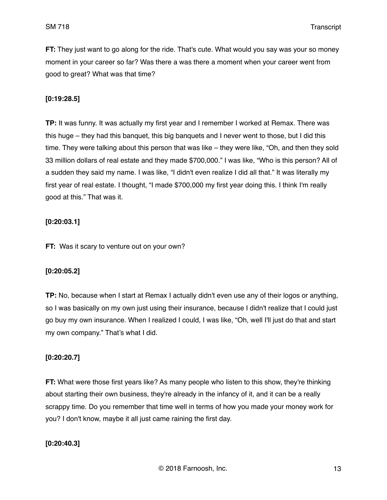**FT:** They just want to go along for the ride. That's cute. What would you say was your so money moment in your career so far? Was there a was there a moment when your career went from good to great? What was that time?

### **[0:19:28.5]**

**TP:** It was funny. It was actually my first year and I remember I worked at Remax. There was this huge – they had this banquet, this big banquets and I never went to those, but I did this time. They were talking about this person that was like – they were like, "Oh, and then they sold 33 million dollars of real estate and they made \$700,000." I was like, "Who is this person? All of a sudden they said my name. I was like, "I didn't even realize I did all that." It was literally my first year of real estate. I thought, "I made \$700,000 my first year doing this. I think I'm really good at this." That was it.

## **[0:20:03.1]**

**FT:** Was it scary to venture out on your own?

### **[0:20:05.2]**

**TP:** No, because when I start at Remax I actually didn't even use any of their logos or anything, so I was basically on my own just using their insurance, because I didn't realize that I could just go buy my own insurance. When I realized I could, I was like, "Oh, well I'll just do that and start my own company." That's what I did.

# **[0:20:20.7]**

**FT:** What were those first years like? As many people who listen to this show, they're thinking about starting their own business, they're already in the infancy of it, and it can be a really scrappy time. Do you remember that time well in terms of how you made your money work for you? I don't know, maybe it all just came raining the first day.

### **[0:20:40.3]**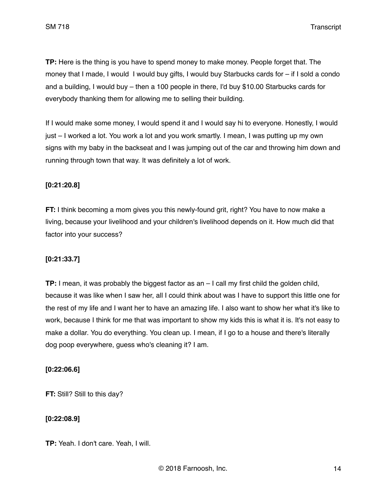**TP:** Here is the thing is you have to spend money to make money. People forget that. The money that I made, I would I would buy gifts, I would buy Starbucks cards for – if I sold a condo and a building, I would buy – then a 100 people in there, I'd buy \$10.00 Starbucks cards for everybody thanking them for allowing me to selling their building.

If I would make some money, I would spend it and I would say hi to everyone. Honestly, I would just – I worked a lot. You work a lot and you work smartly. I mean, I was putting up my own signs with my baby in the backseat and I was jumping out of the car and throwing him down and running through town that way. It was definitely a lot of work.

#### **[0:21:20.8]**

**FT:** I think becoming a mom gives you this newly-found grit, right? You have to now make a living, because your livelihood and your children's livelihood depends on it. How much did that factor into your success?

### **[0:21:33.7]**

**TP:** I mean, it was probably the biggest factor as an – I call my first child the golden child, because it was like when I saw her, all I could think about was I have to support this little one for the rest of my life and I want her to have an amazing life. I also want to show her what it's like to work, because I think for me that was important to show my kids this is what it is. It's not easy to make a dollar. You do everything. You clean up. I mean, if I go to a house and there's literally dog poop everywhere, guess who's cleaning it? I am.

#### **[0:22:06.6]**

**FT:** Still? Still to this day?

### **[0:22:08.9]**

**TP:** Yeah. I don't care. Yeah, I will.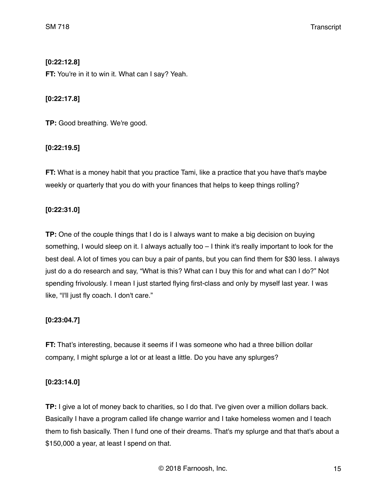# **[0:22:12.8]**

**FT:** You're in it to win it. What can I say? Yeah.

# **[0:22:17.8]**

**TP:** Good breathing. We're good.

# **[0:22:19.5]**

**FT:** What is a money habit that you practice Tami, like a practice that you have that's maybe weekly or quarterly that you do with your finances that helps to keep things rolling?

# **[0:22:31.0]**

**TP:** One of the couple things that I do is I always want to make a big decision on buying something, I would sleep on it. I always actually too - I think it's really important to look for the best deal. A lot of times you can buy a pair of pants, but you can find them for \$30 less. I always just do a do research and say, "What is this? What can I buy this for and what can I do?" Not spending frivolously. I mean I just started flying first-class and only by myself last year. I was like, "I'll just fly coach. I don't care."

# **[0:23:04.7]**

**FT:** That's interesting, because it seems if I was someone who had a three billion dollar company, I might splurge a lot or at least a little. Do you have any splurges?

# **[0:23:14.0]**

**TP:** I give a lot of money back to charities, so I do that. I've given over a million dollars back. Basically I have a program called life change warrior and I take homeless women and I teach them to fish basically. Then I fund one of their dreams. That's my splurge and that that's about a \$150,000 a year, at least I spend on that.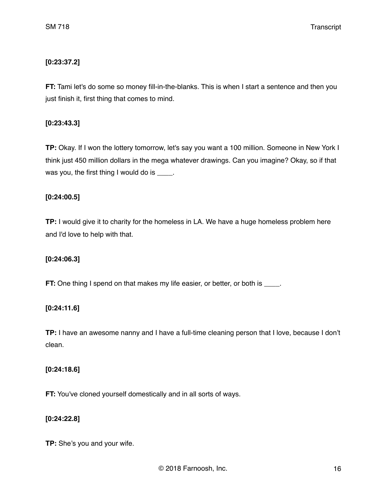# **[0:23:37.2]**

**FT:** Tami let's do some so money fill-in-the-blanks. This is when I start a sentence and then you just finish it, first thing that comes to mind.

### **[0:23:43.3]**

**TP:** Okay. If I won the lottery tomorrow, let's say you want a 100 million. Someone in New York I think just 450 million dollars in the mega whatever drawings. Can you imagine? Okay, so if that was you, the first thing I would do is \_\_\_\_.

## **[0:24:00.5]**

**TP:** I would give it to charity for the homeless in LA. We have a huge homeless problem here and I'd love to help with that.

# **[0:24:06.3]**

**FT:** One thing I spend on that makes my life easier, or better, or both is \_\_\_\_.

# **[0:24:11.6]**

**TP:** I have an awesome nanny and I have a full-time cleaning person that I love, because I don't clean.

### **[0:24:18.6]**

**FT:** You've cloned yourself domestically and in all sorts of ways.

### **[0:24:22.8]**

**TP:** She's you and your wife.